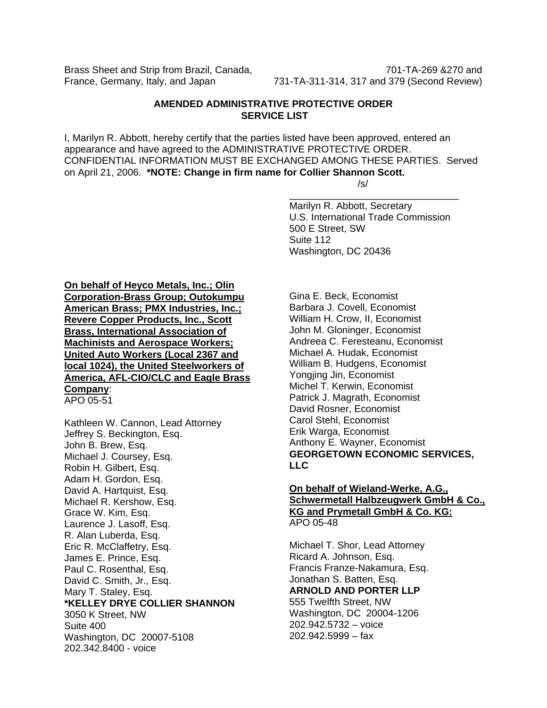Brass Sheet and Strip from Brazil, Canada, The Canada, 701-TA-269 &270 and

France, Germany, Italy, and Japan 731-TA-311-314, 317 and 379 (Second Review)

# **AMENDED ADMINISTRATIVE PROTECTIVE ORDER SERVICE LIST**

I, Marilyn R. Abbott, hereby certify that the parties listed have been approved, entered an appearance and have agreed to the ADMINISTRATIVE PROTECTIVE ORDER. CONFIDENTIAL INFORMATION MUST BE EXCHANGED AMONG THESE PARTIES. Served on April 21, 2006. **\*NOTE: Change in firm name for Collier Shannon Scott.**  /s/

 $\overline{\phantom{a}}$  , and the contract of the contract of the contract of the contract of the contract of the contract of the contract of the contract of the contract of the contract of the contract of the contract of the contrac

Marilyn R. Abbott, Secretary U.S. International Trade Commission 500 E Street, SW Suite 112 Washington, DC 20436

**On behalf of Heyco Metals, Inc.; Olin Corporation-Brass Group; Outokumpu American Brass; PMX Industries, Inc.; Revere Copper Products, Inc., Scott Brass, International Association of Machinists and Aerospace Workers; United Auto Workers (Local 2367 and local 1024), the United Steelworkers of America, AFL-CIO/CLC and Eagle Brass Company**:

APO 05-51

Kathleen W. Cannon, Lead Attorney Jeffrey S. Beckington, Esq. John B. Brew, Esq. Michael J. Coursey, Esq. Robin H. Gilbert, Esq. Adam H. Gordon, Esq. David A. Hartquist, Esq. Michael R. Kershow, Esq. Grace W. Kim, Esq. Laurence J. Lasoff, Esq. R. Alan Luberda, Esq. Eric R. McClaffetry, Esq. James E. Prince, Esq. Paul C. Rosenthal, Esq. David C. Smith, Jr., Esq. Mary T. Staley, Esq. **\*KELLEY DRYE COLLIER SHANNON**  3050 K Street, NW Suite 400 Washington, DC 20007-5108 202.342.8400 - voice

Gina E. Beck, Economist Barbara J. Covell, Economist William H. Crow, II, Economist John M. Gloninger, Economist Andreea C. Feresteanu, Economist Michael A. Hudak, Economist William B. Hudgens, Economist Yongjing Jin, Economist Michel T. Kerwin, Economist Patrick J. Magrath, Economist David Rosner, Economist Carol Stehl, Economist Erik Warga, Economist Anthony E. Wayner, Economist **GEORGETOWN ECONOMIC SERVICES, LLC**

### **On behalf of Wieland-Werke, A.G., Schwermetall Halbzeugwerk GmbH & Co., KG and Prymetall GmbH & Co. KG:** APO 05-48

Michael T. Shor, Lead Attorney Ricard A. Johnson, Esq. Francis Franze-Nakamura, Esq. Jonathan S. Batten, Esq. **ARNOLD AND PORTER LLP**  555 Twelfth Street, NW Washington, DC 20004-1206 202.942.5732 – voice 202.942.5999 – fax